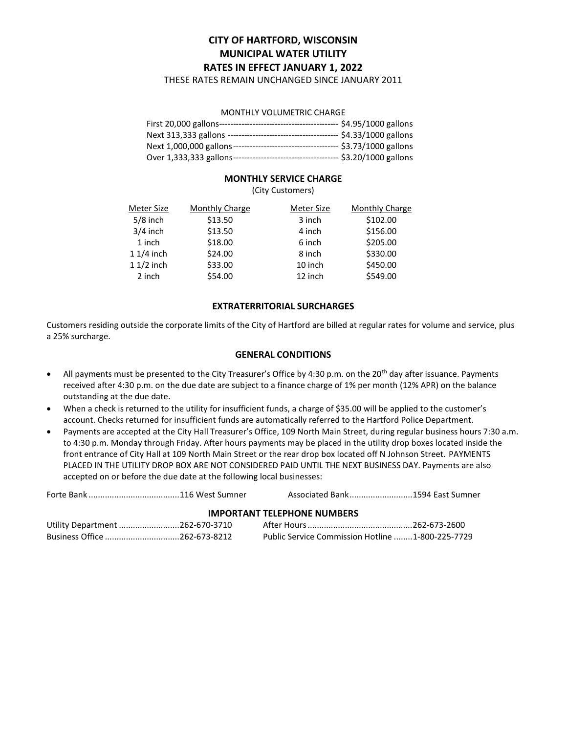# CITY OF HARTFORD, WISCONSIN MUNICIPAL WATER UTILITY RATES IN EFFECT JANUARY 1, 2022

THESE RATES REMAIN UNCHANGED SINCE JANUARY 2011

#### MONTHLY VOLUMETRIC CHARGE

|                                                        | -- \$4.95/1000 gallons  |
|--------------------------------------------------------|-------------------------|
| Next 313,333 gallons --------------------------------- | --- \$4.33/1000 gallons |
|                                                        | --- \$3.73/1000 gallons |
|                                                        | -- \$3.20/1000 gallons  |

## MONTHLY SERVICE CHARGE

(City Customers)

| Meter Size  | <b>Monthly Charge</b> | Meter Size | <b>Monthly Charge</b> |
|-------------|-----------------------|------------|-----------------------|
| $5/8$ inch  | \$13.50               | 3 inch     | \$102.00              |
| $3/4$ inch  | \$13.50               | 4 inch     | \$156.00              |
| 1 inch      | \$18.00               | 6 inch     | \$205.00              |
| $11/4$ inch | \$24.00               | 8 inch     | \$330.00              |
| $11/2$ inch | \$33.00               | 10 inch    | \$450.00              |
| 2 inch      | \$54.00               | 12 inch    | \$549.00              |

## EXTRATERRITORIAL SURCHARGES

Customers residing outside the corporate limits of the City of Hartford are billed at regular rates for volume and service, plus a 25% surcharge.

#### GENERAL CONDITIONS

- All payments must be presented to the City Treasurer's Office by 4:30 p.m. on the 20<sup>th</sup> day after issuance. Payments received after 4:30 p.m. on the due date are subject to a finance charge of 1% per month (12% APR) on the balance outstanding at the due date.
- When a check is returned to the utility for insufficient funds, a charge of \$35.00 will be applied to the customer's account. Checks returned for insufficient funds are automatically referred to the Hartford Police Department.
- Payments are accepted at the City Hall Treasurer's Office, 109 North Main Street, during regular business hours 7:30 a.m. to 4:30 p.m. Monday through Friday. After hours payments may be placed in the utility drop boxes located inside the front entrance of City Hall at 109 North Main Street or the rear drop box located off N Johnson Street. PAYMENTS PLACED IN THE UTILITY DROP BOX ARE NOT CONSIDERED PAID UNTIL THE NEXT BUSINESS DAY. Payments are also accepted on or before the due date at the following local businesses:

|  |  |  | Associated Bank1594 East Sumner |
|--|--|--|---------------------------------|
|--|--|--|---------------------------------|

#### IMPORTANT TELEPHONE NUMBERS

| Utility Department 262-670-3710 |                                                  |  |
|---------------------------------|--------------------------------------------------|--|
| Business Office 262-673-8212    | Public Service Commission Hotline 1-800-225-7729 |  |